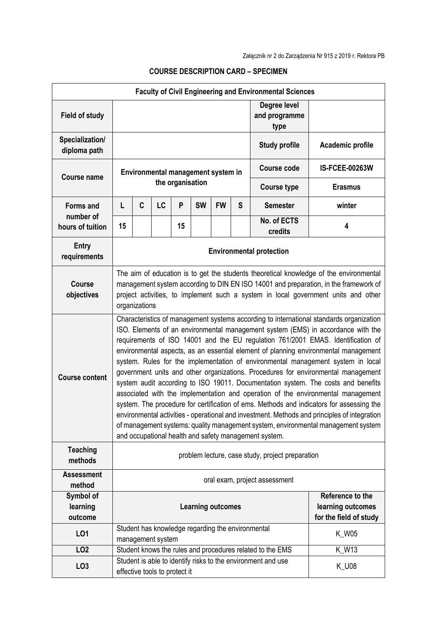|                                  |                                                                                                                                                                                                                                                                                                                                                                                                                                                                                                                                                                                                                                                                                                                                                                                                                                                                                                                                                                                                                                                    |   |                               |                  |           |                                    |   | <b>Faculty of Civil Engineering and Environmental Sciences</b>  |                       |  |
|----------------------------------|----------------------------------------------------------------------------------------------------------------------------------------------------------------------------------------------------------------------------------------------------------------------------------------------------------------------------------------------------------------------------------------------------------------------------------------------------------------------------------------------------------------------------------------------------------------------------------------------------------------------------------------------------------------------------------------------------------------------------------------------------------------------------------------------------------------------------------------------------------------------------------------------------------------------------------------------------------------------------------------------------------------------------------------------------|---|-------------------------------|------------------|-----------|------------------------------------|---|-----------------------------------------------------------------|-----------------------|--|
| <b>Field of study</b>            |                                                                                                                                                                                                                                                                                                                                                                                                                                                                                                                                                                                                                                                                                                                                                                                                                                                                                                                                                                                                                                                    |   |                               |                  |           |                                    |   | Degree level<br>and programme<br>type                           |                       |  |
| Specialization/<br>diploma path  |                                                                                                                                                                                                                                                                                                                                                                                                                                                                                                                                                                                                                                                                                                                                                                                                                                                                                                                                                                                                                                                    |   |                               |                  |           |                                    |   | <b>Study profile</b>                                            | Academic profile      |  |
| <b>Course name</b>               |                                                                                                                                                                                                                                                                                                                                                                                                                                                                                                                                                                                                                                                                                                                                                                                                                                                                                                                                                                                                                                                    |   |                               |                  |           | Environmental management system in |   | <b>Course code</b>                                              | <b>IS-FCEE-00263W</b> |  |
|                                  |                                                                                                                                                                                                                                                                                                                                                                                                                                                                                                                                                                                                                                                                                                                                                                                                                                                                                                                                                                                                                                                    |   |                               | the organisation |           |                                    |   | <b>Course type</b>                                              | <b>Erasmus</b>        |  |
| <b>Forms and</b>                 | L                                                                                                                                                                                                                                                                                                                                                                                                                                                                                                                                                                                                                                                                                                                                                                                                                                                                                                                                                                                                                                                  | C | LC                            | P                | <b>SW</b> | <b>FW</b>                          | S | <b>Semester</b>                                                 | winter                |  |
| number of<br>hours of tuition    | 15                                                                                                                                                                                                                                                                                                                                                                                                                                                                                                                                                                                                                                                                                                                                                                                                                                                                                                                                                                                                                                                 |   |                               | 15               |           |                                    |   | No. of ECTS<br>credits                                          | 4                     |  |
| Entry<br>requirements            | <b>Environmental protection</b>                                                                                                                                                                                                                                                                                                                                                                                                                                                                                                                                                                                                                                                                                                                                                                                                                                                                                                                                                                                                                    |   |                               |                  |           |                                    |   |                                                                 |                       |  |
| <b>Course</b><br>objectives      | The aim of education is to get the students theoretical knowledge of the environmental<br>management system according to DIN EN ISO 14001 and preparation, in the framework of<br>project activities, to implement such a system in local government units and other<br>organizations                                                                                                                                                                                                                                                                                                                                                                                                                                                                                                                                                                                                                                                                                                                                                              |   |                               |                  |           |                                    |   |                                                                 |                       |  |
| <b>Course content</b>            | Characteristics of management systems according to international standards organization<br>ISO. Elements of an environmental management system (EMS) in accordance with the<br>requirements of ISO 14001 and the EU regulation 761/2001 EMAS. Identification of<br>environmental aspects, as an essential element of planning environmental management<br>system. Rules for the implementation of environmental management system in local<br>government units and other organizations. Procedures for environmental management<br>system audit according to ISO 19011. Documentation system. The costs and benefits<br>associated with the implementation and operation of the environmental management<br>system. The procedure for certification of ems. Methods and indicators for assessing the<br>environmental activities - operational and investment. Methods and principles of integration<br>of management systems: quality management system, environmental management system<br>and occupational health and safety management system. |   |                               |                  |           |                                    |   |                                                                 |                       |  |
| <b>Teaching</b><br>methods       | problem lecture, case study, project preparation                                                                                                                                                                                                                                                                                                                                                                                                                                                                                                                                                                                                                                                                                                                                                                                                                                                                                                                                                                                                   |   |                               |                  |           |                                    |   |                                                                 |                       |  |
| <b>Assessment</b><br>method      | oral exam, project assessment                                                                                                                                                                                                                                                                                                                                                                                                                                                                                                                                                                                                                                                                                                                                                                                                                                                                                                                                                                                                                      |   |                               |                  |           |                                    |   |                                                                 |                       |  |
| Symbol of<br>learning<br>outcome |                                                                                                                                                                                                                                                                                                                                                                                                                                                                                                                                                                                                                                                                                                                                                                                                                                                                                                                                                                                                                                                    |   |                               |                  |           | <b>Learning outcomes</b>           |   | Reference to the<br>learning outcomes<br>for the field of study |                       |  |
| L <sub>01</sub>                  |                                                                                                                                                                                                                                                                                                                                                                                                                                                                                                                                                                                                                                                                                                                                                                                                                                                                                                                                                                                                                                                    |   | management system             |                  |           |                                    |   | Student has knowledge regarding the environmental               | <b>K_W05</b>          |  |
| LO <sub>2</sub>                  |                                                                                                                                                                                                                                                                                                                                                                                                                                                                                                                                                                                                                                                                                                                                                                                                                                                                                                                                                                                                                                                    |   |                               |                  |           |                                    |   | Student knows the rules and procedures related to the EMS       | K_W13                 |  |
| LO <sub>3</sub>                  |                                                                                                                                                                                                                                                                                                                                                                                                                                                                                                                                                                                                                                                                                                                                                                                                                                                                                                                                                                                                                                                    |   | effective tools to protect it |                  |           |                                    |   | Student is able to identify risks to the environment and use    | <b>K_U08</b>          |  |

## **COURSE DESCRIPTION CARD – SPECIMEN**